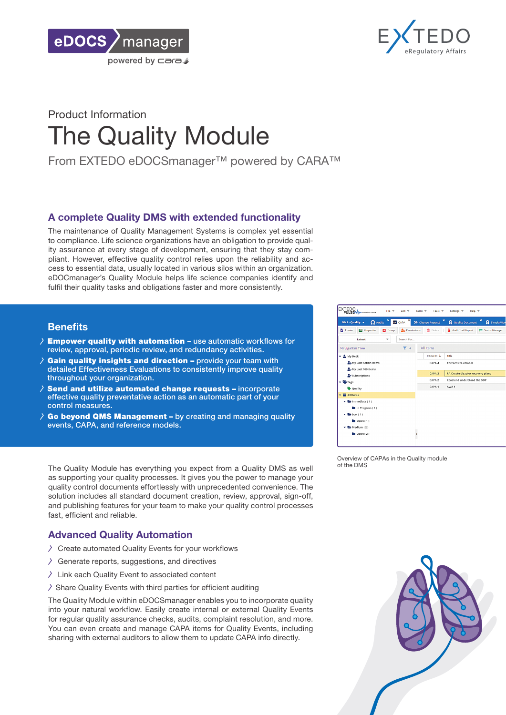



# Product Information The Quality Module

From EXTEDO eDOCSmanager™ powered by CARA™

### A complete Quality DMS with extended functionality

The maintenance of Quality Management Systems is complex yet essential to compliance. Life science organizations have an obligation to provide quality assurance at every stage of development, ensuring that they stay compliant. However, effective quality control relies upon the reliability and access to essential data, usually located in various silos within an organization. eDOCmanager's Quality Module helps life science companies identify and fulfil their quality tasks and obligations faster and more consistently.

### **Benefits**

- $\lambda$  Empower quality with automation use automatic workflows for review, approval, periodic review, and redundancy activities.
- Gain quality insights and direction provide your team with Ž detailed Effectiveness Evaluations to consistently improve quality throughout your organization.
- $\lambda$  Send and utilize automated change requests incorporate effective quality preventative action as an automatic part of your control measures.
- $\lambda$  Go beyond QMS Management by creating and managing quality events, CAPA, and reference models.

The Quality Module has everything you expect from a Quality DMS as well as supporting your quality processes. It gives you the power to manage your quality control documents effortlessly with unprecedented convenience. The solution includes all standard document creation, review, approval, sign-off, and publishing features for your team to make your quality control processes fast, efficient and reliable.

## Advanced Quality Automation

- $\triangle$  Create automated Quality Events for your workflows
- $\triangle$  Generate reports, suggestions, and directives
- $\angle$  Link each Quality Event to associated content
- $\geq$  Share Quality Events with third parties for efficient auditing

The Quality Module within eDOCSmanager enables you to incorporate quality into your natural workflow. Easily create internal or external Quality Events for regular quality assurance checks, audits, complaint resolution, and more. You can even create and manage CAPA items for Quality Events, including sharing with external auditors to allow them to update CAPA info directly.



Overview of CAPAs in the Quality module of the DMS